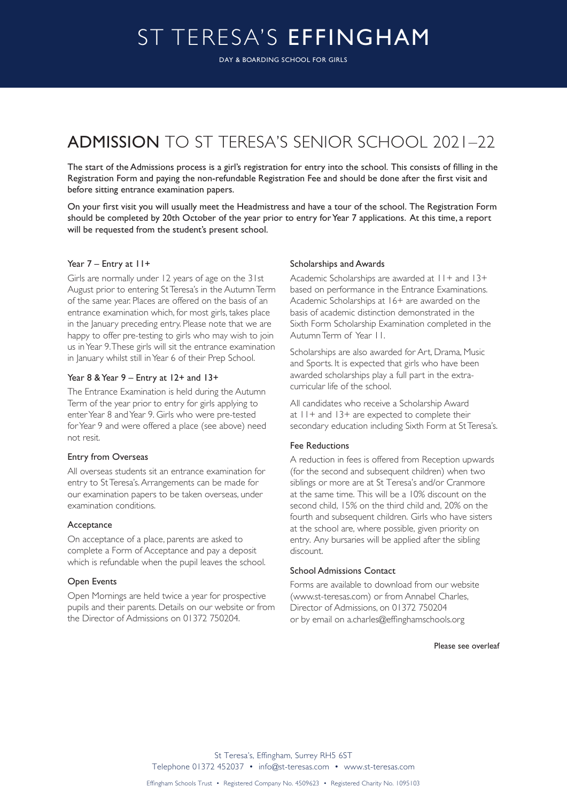# ST TERESA'S EFFINGHAM

DAY & BOARDING SCHOOL FOR GIRLS

# ADMISSION TO ST TERESA'S SENIOR SCHOOL 2021–22

The start of the Admissions process is a girl's registration for entry into the school. This consists of filling in the Registration Form and paying the non-refundable Registration Fee and should be done after the first visit and before sitting entrance examination papers.

On your first visit you will usually meet the Headmistress and have a tour of the school. The Registration Form should be completed by 20th October of the year prior to entry for Year 7 applications. At this time, a report will be requested from the student's present school.

# Year 7 – Entry at 11+

Girls are normally under 12 years of age on the 31st August prior to entering St Teresa's in the Autumn Term of the same year. Places are offered on the basis of an entrance examination which, for most girls, takes place in the January preceding entry. Please note that we are happy to offer pre-testing to girls who may wish to join us in Year 9. These girls will sit the entrance examination in January whilst still in Year 6 of their Prep School.

# Year 8 & Year 9 – Entry at 12+ and 13+

The Entrance Examination is held during the Autumn Term of the year prior to entry for girls applying to enter Year 8 and Year 9. Girls who were pre-tested for Year 9 and were offered a place (see above) need not resit.

# Entry from Overseas

All overseas students sit an entrance examination for entry to St Teresa's. Arrangements can be made for our examination papers to be taken overseas, under examination conditions.

## Acceptance

On acceptance of a place, parents are asked to complete a Form of Acceptance and pay a deposit which is refundable when the pupil leaves the school.

#### Open Events

Open Mornings are held twice a year for prospective pupils and their parents. Details on our website or from the Director of Admissions on 01372 750204.

#### Scholarships and Awards

Academic Scholarships are awarded at  $11+$  and  $13+$ based on performance in the Entrance Examinations. Academic Scholarships at 16+ are awarded on the basis of academic distinction demonstrated in the Sixth Form Scholarship Examination completed in the Autumn Term of Year 11.

Scholarships are also awarded for Art, Drama, Music and Sports. It is expected that girls who have been awarded scholarships play a full part in the extracurricular life of the school.

All candidates who receive a Scholarship Award at 11+ and 13+ are expected to complete their secondary education including Sixth Form at St Teresa's.

# Fee Reductions

A reduction in fees is offered from Reception upwards (for the second and subsequent children) when two siblings or more are at St Teresa's and/or Cranmore at the same time. This will be a 10% discount on the second child, 15% on the third child and, 20% on the fourth and subsequent children. Girls who have sisters at the school are, where possible, given priority on entry. Any bursaries will be applied after the sibling discount.

# School Admissions Contact

Forms are available to download from our website (www.st-teresas.com) or from Annabel Charles, Director of Admissions, on 01372 750204 or by email on a.charles@effinghamschools.org

#### Please see overleaf

St Teresa's, Effingham, Surrey RH5 6ST Telephone 01372 452037 • info@st-teresas.com • www.st-teresas.com